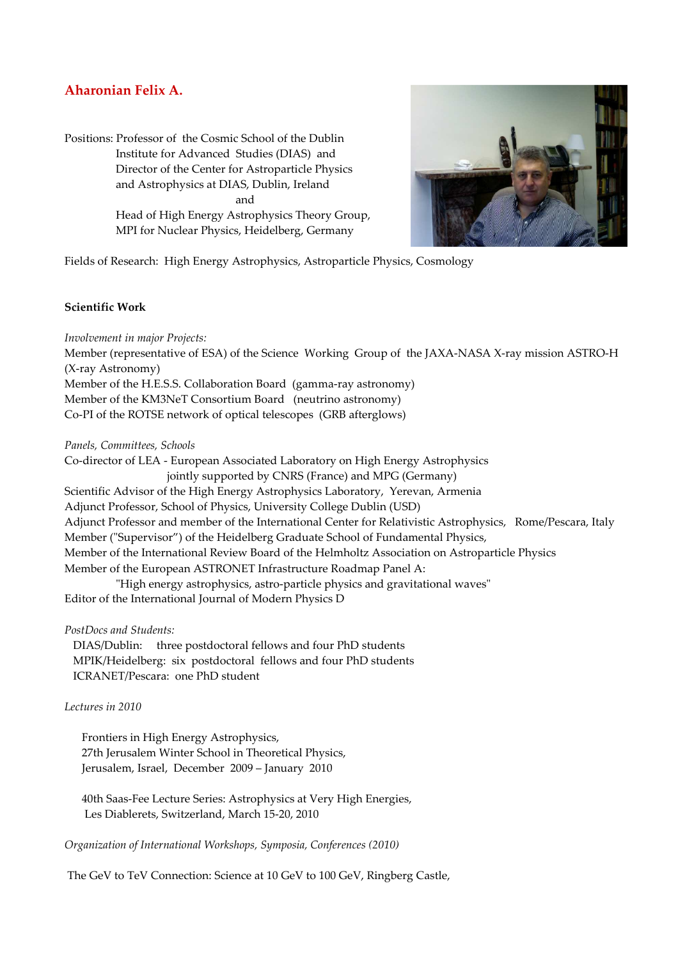# **Aharonian Felix A.**

Positions: Professor of the Cosmic School of the Dublin Institute for Advanced Studies (DIAS) and Director of the Center for Astroparticle Physics and Astrophysics at DIAS, Dublin, Ireland and Head of High Energy Astrophysics Theory Group, MPI for Nuclear Physics, Heidelberg, Germany



Fields of Research: High Energy Astrophysics, Astroparticle Physics, Cosmology

#### **Scientific Work**

*Involvement in major Projects:* 

Member (representative of ESA) of the Science Working Group of the JAXA-NASA X-ray mission ASTRO-H (X-ray Astronomy) Member of the H.E.S.S. Collaboration Board (gamma-ray astronomy)

Member of the KM3NeT Consortium Board (neutrino astronomy)

Co-PI of the ROTSE network of optical telescopes (GRB afterglows)

*Panels, Committees, Schools* 

Co-director of LEA - European Associated Laboratory on High Energy Astrophysics jointly supported by CNRS (France) and MPG (Germany) Scientific Advisor of the High Energy Astrophysics Laboratory, Yerevan, Armenia Adjunct Professor, School of Physics, University College Dublin (USD) Adjunct Professor and member of the International Center for Relativistic Astrophysics, Rome/Pescara, Italy Member ("Supervisor") of the Heidelberg Graduate School of Fundamental Physics, Member of the International Review Board of the Helmholtz Association on Astroparticle Physics Member of the European ASTRONET Infrastructure Roadmap Panel A:

 "High energy astrophysics, astro-particle physics and gravitational waves" Editor of the International Journal of Modern Physics D

*PostDocs and Students:* 

 DIAS/Dublin: three postdoctoral fellows and four PhD students MPIK/Heidelberg: six postdoctoral fellows and four PhD students ICRANET/Pescara: one PhD student

### *Lectures in 2010*

 Frontiers in High Energy Astrophysics, 27th Jerusalem Winter School in Theoretical Physics, Jerusalem, Israel, December 2009 – January 2010

 40th Saas-Fee Lecture Series: Astrophysics at Very High Energies, Les Diablerets, Switzerland, March 15-20, 2010

*Organization of International Workshops, Symposia, Conferences (2010)* 

The GeV to TeV Connection: Science at 10 GeV to 100 GeV, Ringberg Castle,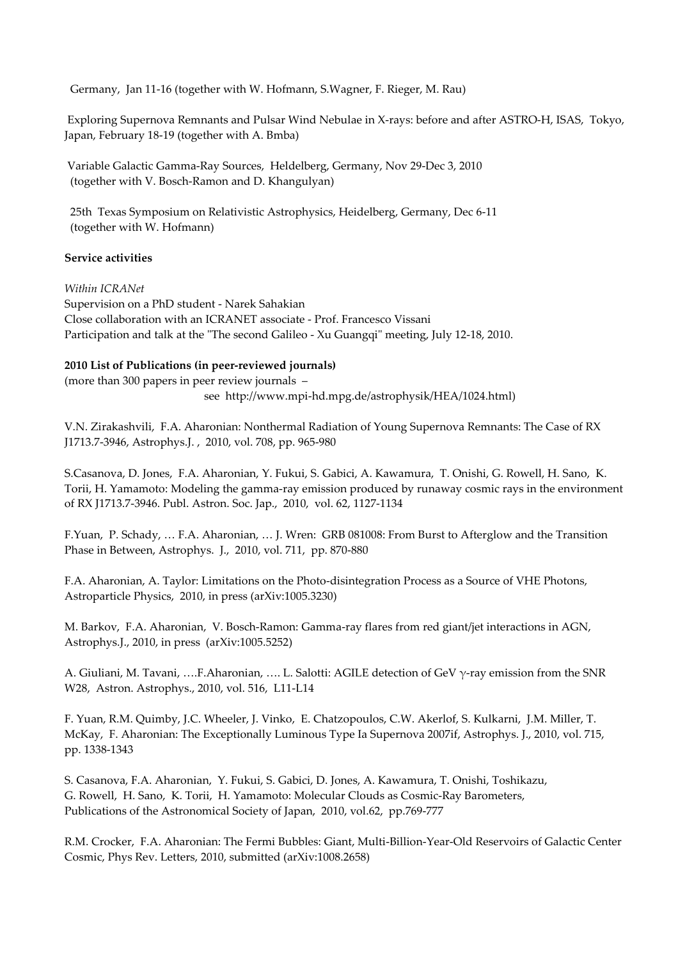Germany, Jan 11-16 (together with W. Hofmann, S.Wagner, F. Rieger, M. Rau)

 Exploring Supernova Remnants and Pulsar Wind Nebulae in X-rays: before and after ASTRO-H, ISAS, Tokyo, Japan, February 18-19 (together with A. Bmba)

 Variable Galactic Gamma-Ray Sources, Heldelberg, Germany, Nov 29-Dec 3, 2010 (together with V. Bosch-Ramon and D. Khangulyan)

 25th Texas Symposium on Relativistic Astrophysics, Heidelberg, Germany, Dec 6-11 (together with W. Hofmann)

## **Service activities**

### *Within ICRANet*

Supervision on a PhD student - Narek Sahakian Close collaboration with an ICRANET associate - Prof. Francesco Vissani Participation and talk at the "The second Galileo - Xu Guangqi" meeting, July 12-18, 2010.

## **2010 List of Publications (in peer-reviewed journals)**

(more than 300 papers in peer review journals – see http://www.mpi-hd.mpg.de/astrophysik/HEA/1024.html)

V.N. Zirakashvili, F.A. Aharonian: Nonthermal Radiation of Young Supernova Remnants: The Case of RX J1713.7-3946, Astrophys.J. , 2010, vol. 708, pp. 965-980

S.Casanova, D. Jones, F.A. Aharonian, Y. Fukui, S. Gabici, A. Kawamura, T. Onishi, G. Rowell, H. Sano, K. Torii, H. Yamamoto: Modeling the gamma-ray emission produced by runaway cosmic rays in the environment of RX J1713.7-3946. Publ. Astron. Soc. Jap., 2010, vol. 62, 1127-1134

F.Yuan, P. Schady, … F.A. Aharonian, … J. Wren: GRB 081008: From Burst to Afterglow and the Transition Phase in Between, Astrophys. J., 2010, vol. 711, pp. 870-880

F.A. Aharonian, A. Taylor: Limitations on the Photo-disintegration Process as a Source of VHE Photons, Astroparticle Physics, 2010, in press (arXiv:1005.3230)

M. Barkov, F.A. Aharonian, V. Bosch-Ramon: Gamma-ray flares from red giant/jet interactions in AGN, Astrophys.J., 2010, in press (arXiv:1005.5252)

A. Giuliani, M. Tavani, ….F.Aharonian, …. L. Salotti: AGILE detection of GeV γ-ray emission from the SNR W28, Astron. Astrophys., 2010, vol. 516, L11-L14

F. Yuan, R.M. Quimby, J.C. Wheeler, J. Vinko, E. Chatzopoulos, C.W. Akerlof, S. Kulkarni, J.M. Miller, T. McKay, F. Aharonian: The Exceptionally Luminous Type Ia Supernova 2007if, Astrophys. J., 2010, vol. 715, pp. 1338-1343

S. Casanova, F.A. Aharonian, Y. Fukui, S. Gabici, D. Jones, A. Kawamura, T. Onishi, Toshikazu, G. Rowell, H. Sano, K. Torii, H. Yamamoto: Molecular Clouds as Cosmic-Ray Barometers, Publications of the Astronomical Society of Japan, 2010, vol.62, pp.769-777

R.M. Crocker, F.A. Aharonian: The Fermi Bubbles: Giant, Multi-Billion-Year-Old Reservoirs of Galactic Center Cosmic, Phys Rev. Letters, 2010, submitted (arXiv:1008.2658)